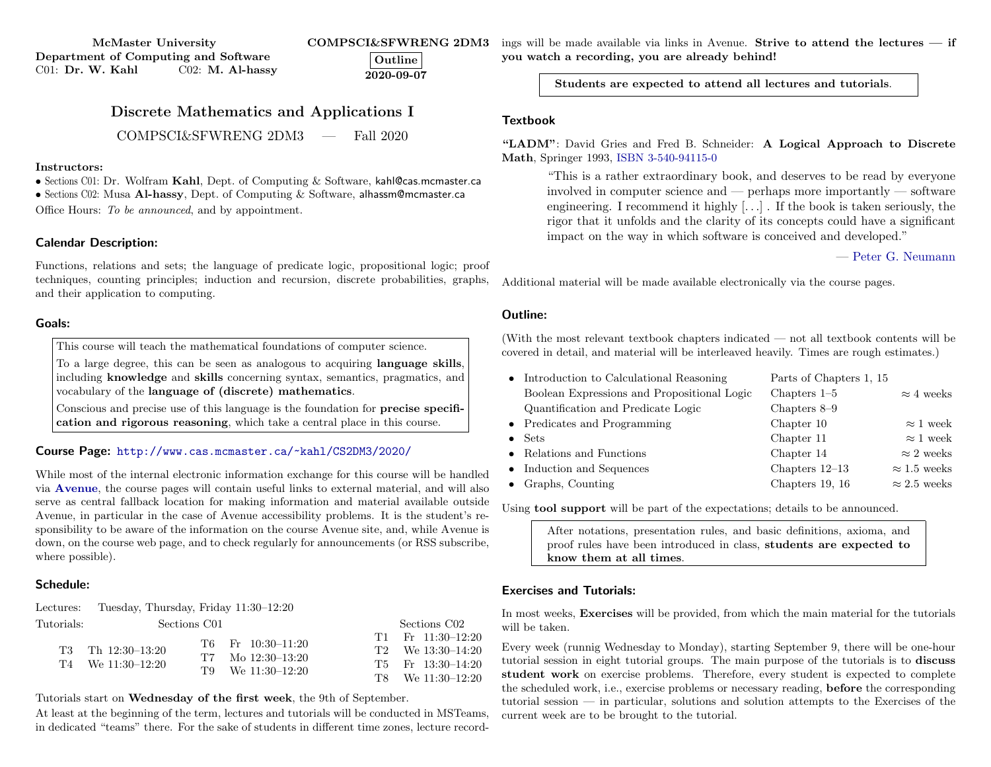McMaster University Department of Computing and Software C01: Dr. W. Kahl C02: M. Al-hassy

Outline 2020-09-07

Discrete Mathematics and Applications I COMPSCI&SFWRENG 2DM3 — Fall 2020

#### Instructors:

• Sections C01: Dr. Wolfram Kahl, Dept. of Computing & Software, kahl@cas.mcmaster.ca • Sections C02: Musa Al-hassy, Dept. of Computing & Software, alhassm@mcmaster.ca Office Hours: To be announced, and by appointment.

## Calendar Description:

Functions, relations and sets; the language of predicate logic, propositional logic; proof techniques, counting principles; induction and recursion, discrete probabilities, graphs, and their application to computing.

## Goals:

This course will teach the mathematical foundations of computer science.

To a large degree, this can be seen as analogous to acquiring language skills, including knowledge and skills concerning syntax, semantics, pragmatics, and vocabulary of the language of (discrete) mathematics.

Conscious and precise use of this language is the foundation for precise specification and rigorous reasoning, which take a central place in this course.

## Course Page: <http://www.cas.mcmaster.ca/~kahl/CS2DM3/2020/>

While most of the internal electronic information exchange for this course will be handled via [Avenue](http://avenue.mcmaster.ca/), the course pages will contain useful links to external material, and will also serve as central fallback location for making information and material available outside Avenue, in particular in the case of Avenue accessibility problems. It is the student's responsibility to be aware of the information on the course Avenue site, and, while Avenue is down, on the course web page, and to check regularly for announcements (or RSS subscribe, where possible).

## Schedule:

| Tutorials: | Sections C01                                   |                                                                         | Sections C <sub>02</sub>                                                                 |
|------------|------------------------------------------------|-------------------------------------------------------------------------|------------------------------------------------------------------------------------------|
|            | $T3$ Th $12:30-13:20$<br>$T4$ We $11:30-12:20$ | $T6$ Fr $10:30-11:20$<br>$T7$ Mo $12:30-13:20$<br>$T9$ We $11:30-12:20$ | $T1$ Fr $11:30-12:20$<br>T2 We 13:30-14:20<br>$T5$ Fr $13:30-14:20$<br>T8 We 11:30-12:20 |

Tutorials start on Wednesday of the first week, the 9th of September.

Lectures: Tuesday, Thursday, Friday 11:30–12:20

At least at the beginning of the term, lectures and tutorials will be conducted in MSTeams, in dedicated "teams" there. For the sake of students in different time zones, lecture record-

COMPSCI&SFWRENG 2DM3 ings will be made available via links in Avenue. Strive to attend the lectures — if you watch a recording, you are already behind!

Students are expected to attend all lectures and tutorials.

# **Textbook**

# "LADM": David Gries and Fred B. Schneider: A Logical Approach to Discrete Math, Springer 1993, [ISBN 3-540-94115-0](http://www.springer.de/cgi-bin/search_book.pl?isbn=3-540-94115-0)

"This is a rather extraordinary book, and deserves to be read by everyone involved in computer science and — perhaps more importantly — software engineering. I recommend it highly  $[\ldots]$ . If the book is taken seriously, the rigor that it unfolds and the clarity of its concepts could have a significant impact on the way in which software is conceived and developed."

— [Peter G. Neumann](https://en.wikipedia.org/wiki/Peter_G._Neumann)

Additional material will be made available electronically via the course pages.

# Outline:

(With the most relevant textbook chapters indicated — not all textbook contents will be covered in detail, and material will be interleaved heavily. Times are rough estimates.)

| • Introduction to Calculational Reasoning   | Parts of Chapters 1, 15 |                     |
|---------------------------------------------|-------------------------|---------------------|
| Boolean Expressions and Propositional Logic | Chapters $1-5$          | $\approx 4$ weeks   |
| Quantification and Predicate Logic          | Chapters $8-9$          |                     |
| • Predicates and Programming                | Chapter 10              | $\approx 1$ week    |
| $\bullet$ Sets                              | Chapter 11              | $\approx 1$ week    |
| • Relations and Functions                   | Chapter 14              | $\approx 2$ weeks   |
| • Induction and Sequences                   | Chapters $12-13$        | $\approx 1.5$ weeks |
| $\bullet$ Graphs, Counting                  | Chapters 19, 16         | $\approx 2.5$ weeks |

Using tool support will be part of the expectations; details to be announced.

After notations, presentation rules, and basic definitions, axioma, and proof rules have been introduced in class, students are expected to know them at all times.

#### Exercises and Tutorials:

In most weeks, **Exercises** will be provided, from which the main material for the tutorials will be taken.

Every week (runnig Wednesday to Monday), starting September 9, there will be one-hour tutorial session in eight tutorial groups. The main purpose of the tutorials is to discuss student work on exercise problems. Therefore, every student is expected to complete the scheduled work, i.e., exercise problems or necessary reading, before the corresponding tutorial session — in particular, solutions and solution attempts to the Exercises of the current week are to be brought to the tutorial.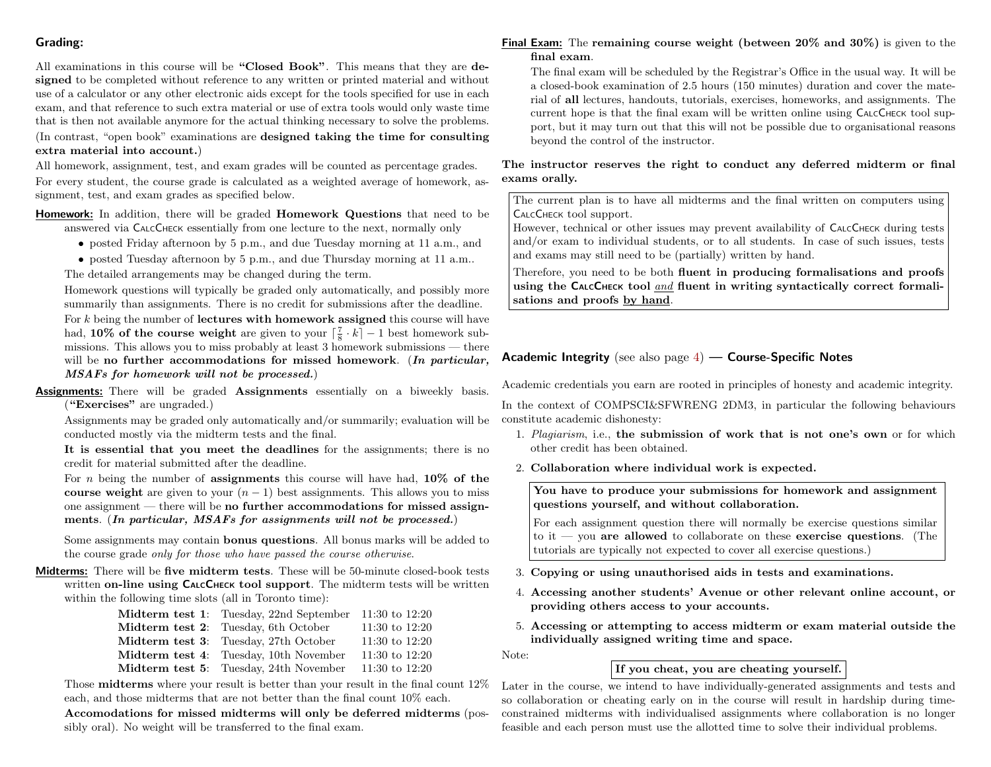# Grading:

All examinations in this course will be "Closed Book". This means that they are designed to be completed without reference to any written or printed material and without use of a calculator or any other electronic aids except for the tools specified for use in each exam, and that reference to such extra material or use of extra tools would only waste time that is then not available anymore for the actual thinking necessary to solve the problems.

(In contrast, "open book" examinations are designed taking the time for consulting extra material into account.)

All homework, assignment, test, and exam grades will be counted as percentage grades. For every student, the course grade is calculated as a weighted average of homework, assignment, test, and exam grades as specified below.

## Homework: In addition, there will be graded Homework Questions that need to be answered via CALCCHECK essentially from one lecture to the next, normally only

- posted Friday afternoon by 5 p.m., and due Tuesday morning at 11 a.m., and
- posted Tuesday afternoon by 5 p.m., and due Thursday morning at 11 a.m..

The detailed arrangements may be changed during the term.

Homework questions will typically be graded only automatically, and possibly more summarily than assignments. There is no credit for submissions after the deadline.

For k being the number of lectures with homework assigned this course will have had, 10% of the course weight are given to your  $\lceil \frac{7}{8} \cdot k \rceil - 1$  best homework submissions. This allows you to miss probably at least 3 homework submissions — there will be no further accommodations for missed homework. (In particular, MSAFs for homework will not be processed.)

Assignments: There will be graded Assignments essentially on a biweekly basis. ("Exercises" are ungraded.)

Assignments may be graded only automatically and/or summarily; evaluation will be conducted mostly via the midterm tests and the final.

It is essential that you meet the deadlines for the assignments; there is no credit for material submitted after the deadline.

For *n* being the number of **assignments** this course will have had,  $10\%$  of the course weight are given to your  $(n - 1)$  best assignments. This allows you to miss one assignment — there will be **no further accommodations for missed assign**ments. (In particular, MSAFs for assignments will not be processed.)

Some assignments may contain bonus questions. All bonus marks will be added to the course grade only for those who have passed the course otherwise.

Midterms: There will be five midterm tests. These will be 50-minute closed-book tests written on-line using CALCCHECK tool support. The midterm tests will be written within the following time slots (all in Toronto time):

| Midterm test 1: Tuesday, 22nd September 11:30 to 12:20 |                    |
|--------------------------------------------------------|--------------------|
| <b>Midterm test 2:</b> Tuesday, 6th October            | $11:30$ to $12:20$ |
| Midterm test 3: Tuesday, 27th October                  | $11:30$ to $12:20$ |
| <b>Midterm test 4:</b> Tuesday, 10th November          | $11:30$ to $12:20$ |
| <b>Midterm test 5:</b> Tuesday, 24th November          | $11:30$ to $12:20$ |

Those midterms where your result is better than your result in the final count 12% each, and those midterms that are not better than the final count 10% each.

Accomodations for missed midterms will only be deferred midterms (possibly oral). No weight will be transferred to the final exam.

# Final Exam: The remaining course weight (between 20% and 30%) is given to the final exam.

The final exam will be scheduled by the Registrar's Office in the usual way. It will be a closed-book examination of 2.5 hours (150 minutes) duration and cover the material of all lectures, handouts, tutorials, exercises, homeworks, and assignments. The current hope is that the final exam will be written online using  $C_{ALC}C_{HECK}$  tool support, but it may turn out that this will not be possible due to organisational reasons beyond the control of the instructor.

# The instructor reserves the right to conduct any deferred midterm or final exams orally.

The current plan is to have all midterms and the final written on computers using CALCCHECK tool support.

However, technical or other issues may prevent availability of CALCCHECK during tests and/or exam to individual students, or to all students. In case of such issues, tests and exams may still need to be (partially) written by hand.

Therefore, you need to be both fluent in producing formalisations and proofs using the  $\textsf{C}_{\textsf{ALC}}$ CHECK tool and fluent in writing syntactically correct formalisations and proofs by hand.

# Academic Integrity (see also page [4\)](#page-2-0) — Course-Specific Notes

Academic credentials you earn are rooted in principles of honesty and academic integrity.

In the context of COMPSCI&SFWRENG 2DM3, in particular the following behaviours constitute academic dishonesty:

- 1. Plagiarism, i.e., the submission of work that is not one's own or for which other credit has been obtained.
- 2. Collaboration where individual work is expected.

You have to produce your submissions for homework and assignment questions yourself, and without collaboration.

For each assignment question there will normally be exercise questions similar to it — you are allowed to collaborate on these exercise questions. (The tutorials are typically not expected to cover all exercise questions.)

- 3. Copying or using unauthorised aids in tests and examinations.
- 4. Accessing another students' Avenue or other relevant online account, or providing others access to your accounts.
- 5. Accessing or attempting to access midterm or exam material outside the individually assigned writing time and space.

Note:

# If you cheat, you are cheating yourself.

Later in the course, we intend to have individually-generated assignments and tests and so collaboration or cheating early on in the course will result in hardship during timeconstrained midterms with individualised assignments where collaboration is no longer feasible and each person must use the allotted time to solve their individual problems.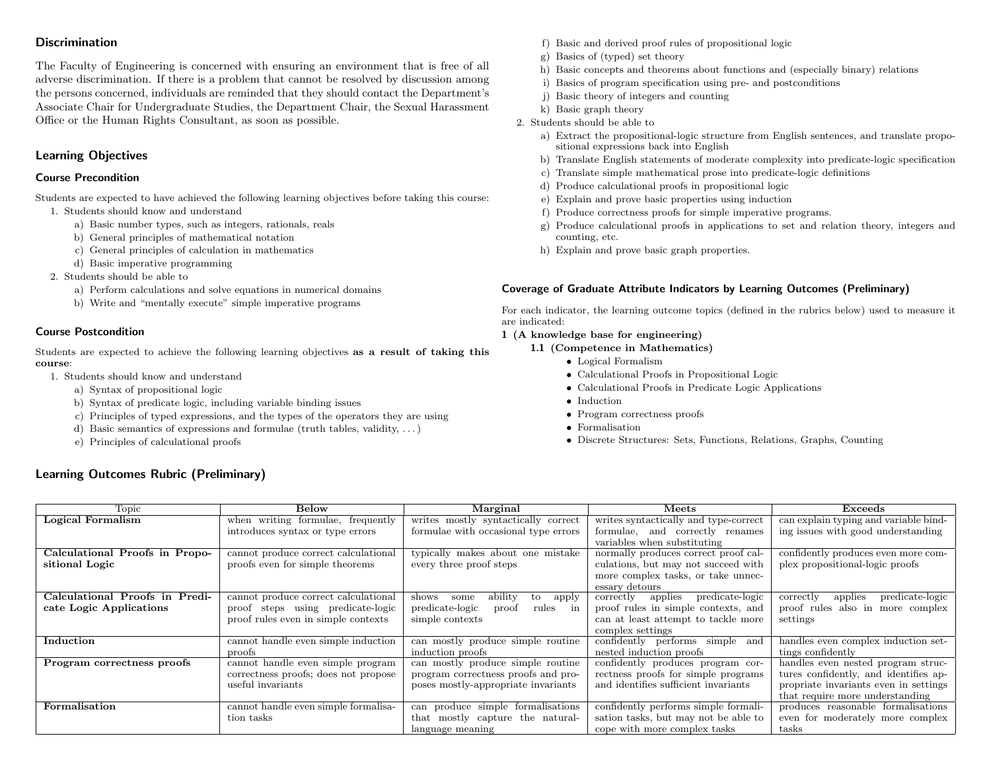# **Discrimination**

The Faculty of Engineering is concerned with ensuring an environment that is free of all adverse discrimination. If there is a problem that cannot be resolved by discussion among the persons concerned, individuals are reminded that they should contact the Department's Associate Chair for Undergraduate Studies, the Department Chair, the Sexual Harassment Office or the Human Rights Consultant, as soon as possible.

# Learning Objectives

### Course Precondition

Students are expected to have achieved the following learning objectives before taking this course:

- 1. Students should know and understand
	- a) Basic number types, such as integers, rationals, reals
	- b) General principles of mathematical notation
	- c) General principles of calculation in mathematics
	- d) Basic imperative programming
- 2. Students should be able to
	- a) Perform calculations and solve equations in numerical domains
	- b) Write and "mentally execute" simple imperative programs

## Course Postcondition

Students are expected to achieve the following learning objectives as a result of taking this course:

- 1. Students should know and understand
	- a) Syntax of propositional logic
	- b) Syntax of predicate logic, including variable binding issues
	- c) Principles of typed expressions, and the types of the operators they are using
	- d) Basic semantics of expressions and formulae (truth tables, validity, . . . )
	- e) Principles of calculational proofs

# Learning Outcomes Rubric (Preliminary)

- f) Basic and derived proof rules of propositional logic
- g) Basics of (typed) set theory
- h) Basic concepts and theorems about functions and (especially binary) relations
- i) Basics of program specification using pre- and postconditions
- j) Basic theory of integers and counting
- k) Basic graph theory
- 2. Students should be able to
	- a) Extract the propositional-logic structure from English sentences, and translate propositional expressions back into English
	- b) Translate English statements of moderate complexity into predicate-logic specification
	- c) Translate simple mathematical prose into predicate-logic definitions
	- d) Produce calculational proofs in propositional logic
	- e) Explain and prove basic properties using induction
	- f) Produce correctness proofs for simple imperative programs.
	- g) Produce calculational proofs in applications to set and relation theory, integers and counting, etc.
	- h) Explain and prove basic graph properties.

#### Coverage of Graduate Attribute Indicators by Learning Outcomes (Preliminary)

For each indicator, the learning outcome topics (defined in the rubrics below) used to measure it are indicated:

#### 1 (A knowledge base for engineering)

- 1.1 (Competence in Mathematics)
	- Logical Formalism
	- Calculational Proofs in Propositional Logic
	- Calculational Proofs in Predicate Logic Applications
	- Induction
	- Program correctness proofs
	- Formalisation
	- Discrete Structures: Sets, Functions, Relations, Graphs, Counting

<span id="page-2-0"></span>

| Topic                          | <b>Below</b>                         | Marginal                                | Meets                                   | <b>Exceeds</b>                          |
|--------------------------------|--------------------------------------|-----------------------------------------|-----------------------------------------|-----------------------------------------|
| Logical Formalism              | when writing formulae, frequently    | writes mostly syntactically correct     | writes syntactically and type-correct   | can explain typing and variable bind-   |
|                                | introduces syntax or type errors     | formulae with occasional type errors    | formulae, and correctly renames         | ing issues with good understanding      |
|                                |                                      |                                         | variables when substituting             |                                         |
| Calculational Proofs in Propo- | cannot produce correct calculational | typically makes about one mistake       | normally produces correct proof cal-    | confidently produces even more com-     |
| sitional Logic                 | proofs even for simple theorems      | every three proof steps                 | culations, but may not succeed with     | plex propositional-logic proofs         |
|                                |                                      |                                         | more complex tasks, or take unnec-      |                                         |
|                                |                                      |                                         | essary detours                          |                                         |
| Calculational Proofs in Predi- | cannot produce correct calculational | ability<br>shows<br>some<br>apply<br>to | applies<br>predicate-logic<br>correctly | predicate-logic<br>applies<br>correctly |
| cate Logic Applications        | proof steps using predicate-logic    | predicate-logic<br>rules<br>proof<br>in | proof rules in simple contexts, and     | proof rules also in more complex        |
|                                | proof rules even in simple contexts  | simple contexts                         | can at least attempt to tackle more     | settings                                |
|                                |                                      |                                         | complex settings                        |                                         |
| $\bm{\mathrm{Induction}}$      | cannot handle even simple induction  | can mostly produce simple routine       | confidently performs<br>simple and      | handles even complex induction set-     |
|                                | proofs                               | induction proofs                        | nested induction proofs                 | tings confidently                       |
| Program correctness proofs     | cannot handle even simple program    | can mostly produce simple routine       | confidently produces program cor-       | handles even nested program struc-      |
|                                | correctness proofs; does not propose | program correctness proofs and pro-     | rectness proofs for simple programs     | tures confidently, and identifies ap-   |
|                                | useful invariants                    | poses mostly-appropriate invariants     | and identifies sufficient invariants    | propriate invariants even in settings   |
|                                |                                      |                                         |                                         | that require more understanding         |
| Formalisation                  | cannot handle even simple formalisa- | can produce simple formalisations       | confidently performs simple formali-    | produces reasonable formalisations      |
|                                | tion tasks                           | that mostly capture the natural-        | sation tasks, but may not be able to    | even for moderately more complex        |
|                                |                                      | language meaning                        | cope with more complex tasks            | tasks                                   |